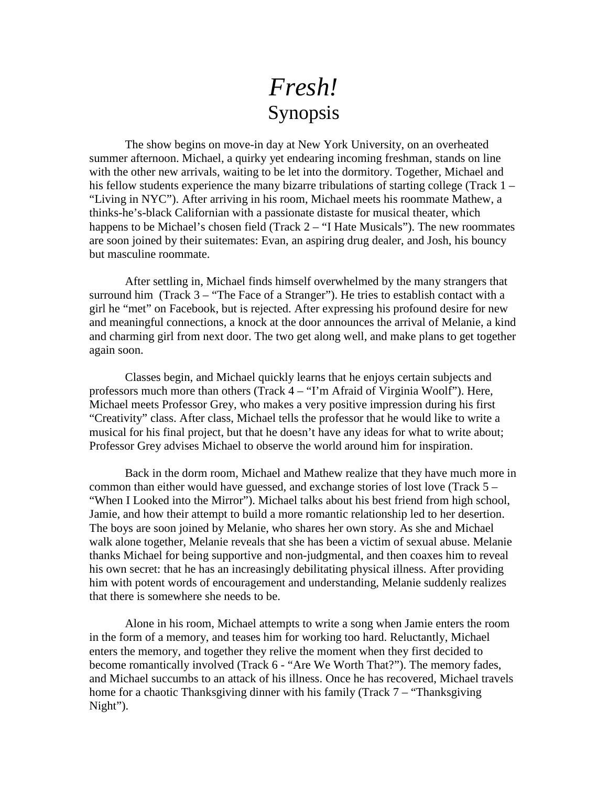## *Fresh!*  Synopsis

 The show begins on move-in day at New York University, on an overheated summer afternoon. Michael, a quirky yet endearing incoming freshman, stands on line with the other new arrivals, waiting to be let into the dormitory. Together, Michael and his fellow students experience the many bizarre tribulations of starting college (Track 1 – "Living in NYC"). After arriving in his room, Michael meets his roommate Mathew, a thinks-he's-black Californian with a passionate distaste for musical theater, which happens to be Michael's chosen field (Track 2 – "I Hate Musicals"). The new roommates are soon joined by their suitemates: Evan, an aspiring drug dealer, and Josh, his bouncy but masculine roommate.

After settling in, Michael finds himself overwhelmed by the many strangers that surround him (Track  $3 -$  "The Face of a Stranger"). He tries to establish contact with a girl he "met" on Facebook, but is rejected. After expressing his profound desire for new and meaningful connections, a knock at the door announces the arrival of Melanie, a kind and charming girl from next door. The two get along well, and make plans to get together again soon.

Classes begin, and Michael quickly learns that he enjoys certain subjects and professors much more than others (Track 4 – "I'm Afraid of Virginia Woolf"). Here, Michael meets Professor Grey, who makes a very positive impression during his first "Creativity" class. After class, Michael tells the professor that he would like to write a musical for his final project, but that he doesn't have any ideas for what to write about; Professor Grey advises Michael to observe the world around him for inspiration.

Back in the dorm room, Michael and Mathew realize that they have much more in common than either would have guessed, and exchange stories of lost love (Track 5 – "When I Looked into the Mirror"). Michael talks about his best friend from high school, Jamie, and how their attempt to build a more romantic relationship led to her desertion. The boys are soon joined by Melanie, who shares her own story. As she and Michael walk alone together, Melanie reveals that she has been a victim of sexual abuse. Melanie thanks Michael for being supportive and non-judgmental, and then coaxes him to reveal his own secret: that he has an increasingly debilitating physical illness. After providing him with potent words of encouragement and understanding, Melanie suddenly realizes that there is somewhere she needs to be.

 Alone in his room, Michael attempts to write a song when Jamie enters the room in the form of a memory, and teases him for working too hard. Reluctantly, Michael enters the memory, and together they relive the moment when they first decided to become romantically involved (Track 6 - "Are We Worth That?"). The memory fades, and Michael succumbs to an attack of his illness. Once he has recovered, Michael travels home for a chaotic Thanksgiving dinner with his family (Track 7 – "Thanksgiving") Night").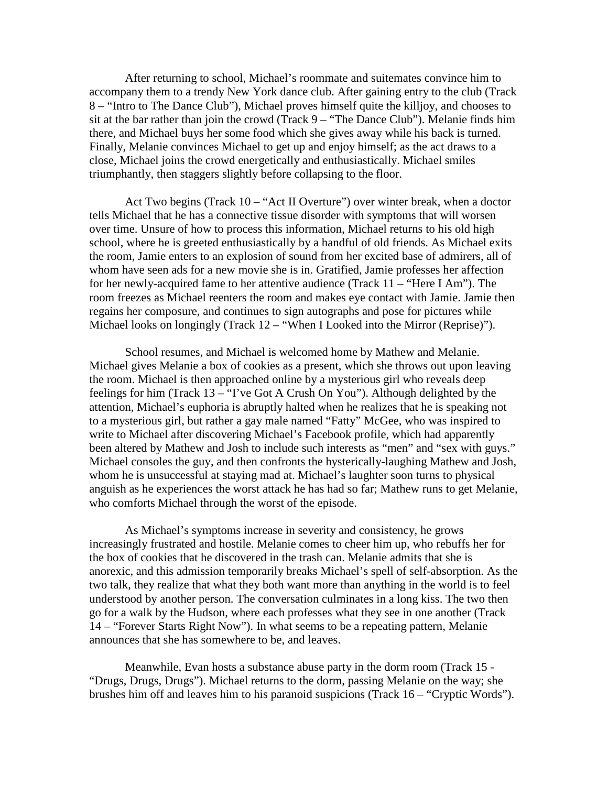After returning to school, Michael's roommate and suitemates convince him to accompany them to a trendy New York dance club. After gaining entry to the club (Track 8 – "Intro to The Dance Club"), Michael proves himself quite the killjoy, and chooses to sit at the bar rather than join the crowd (Track 9 – "The Dance Club"). Melanie finds him there, and Michael buys her some food which she gives away while his back is turned. Finally, Melanie convinces Michael to get up and enjoy himself; as the act draws to a close, Michael joins the crowd energetically and enthusiastically. Michael smiles triumphantly, then staggers slightly before collapsing to the floor.

 Act Two begins (Track 10 – "Act II Overture") over winter break, when a doctor tells Michael that he has a connective tissue disorder with symptoms that will worsen over time. Unsure of how to process this information, Michael returns to his old high school, where he is greeted enthusiastically by a handful of old friends. As Michael exits the room, Jamie enters to an explosion of sound from her excited base of admirers, all of whom have seen ads for a new movie she is in. Gratified, Jamie professes her affection for her newly-acquired fame to her attentive audience (Track 11 – "Here I Am"). The room freezes as Michael reenters the room and makes eye contact with Jamie. Jamie then regains her composure, and continues to sign autographs and pose for pictures while Michael looks on longingly (Track 12 – "When I Looked into the Mirror (Reprise)").

 School resumes, and Michael is welcomed home by Mathew and Melanie. Michael gives Melanie a box of cookies as a present, which she throws out upon leaving the room. Michael is then approached online by a mysterious girl who reveals deep feelings for him (Track 13 – "I've Got A Crush On You"). Although delighted by the attention, Michael's euphoria is abruptly halted when he realizes that he is speaking not to a mysterious girl, but rather a gay male named "Fatty" McGee, who was inspired to write to Michael after discovering Michael's Facebook profile, which had apparently been altered by Mathew and Josh to include such interests as "men" and "sex with guys." Michael consoles the guy, and then confronts the hysterically-laughing Mathew and Josh, whom he is unsuccessful at staying mad at. Michael's laughter soon turns to physical anguish as he experiences the worst attack he has had so far; Mathew runs to get Melanie, who comforts Michael through the worst of the episode.

 As Michael's symptoms increase in severity and consistency, he grows increasingly frustrated and hostile. Melanie comes to cheer him up, who rebuffs her for the box of cookies that he discovered in the trash can. Melanie admits that she is anorexic, and this admission temporarily breaks Michael's spell of self-absorption. As the two talk, they realize that what they both want more than anything in the world is to feel understood by another person. The conversation culminates in a long kiss. The two then go for a walk by the Hudson, where each professes what they see in one another (Track 14 – "Forever Starts Right Now"). In what seems to be a repeating pattern, Melanie announces that she has somewhere to be, and leaves.

 Meanwhile, Evan hosts a substance abuse party in the dorm room (Track 15 - "Drugs, Drugs, Drugs"). Michael returns to the dorm, passing Melanie on the way; she brushes him off and leaves him to his paranoid suspicions (Track 16 – "Cryptic Words").